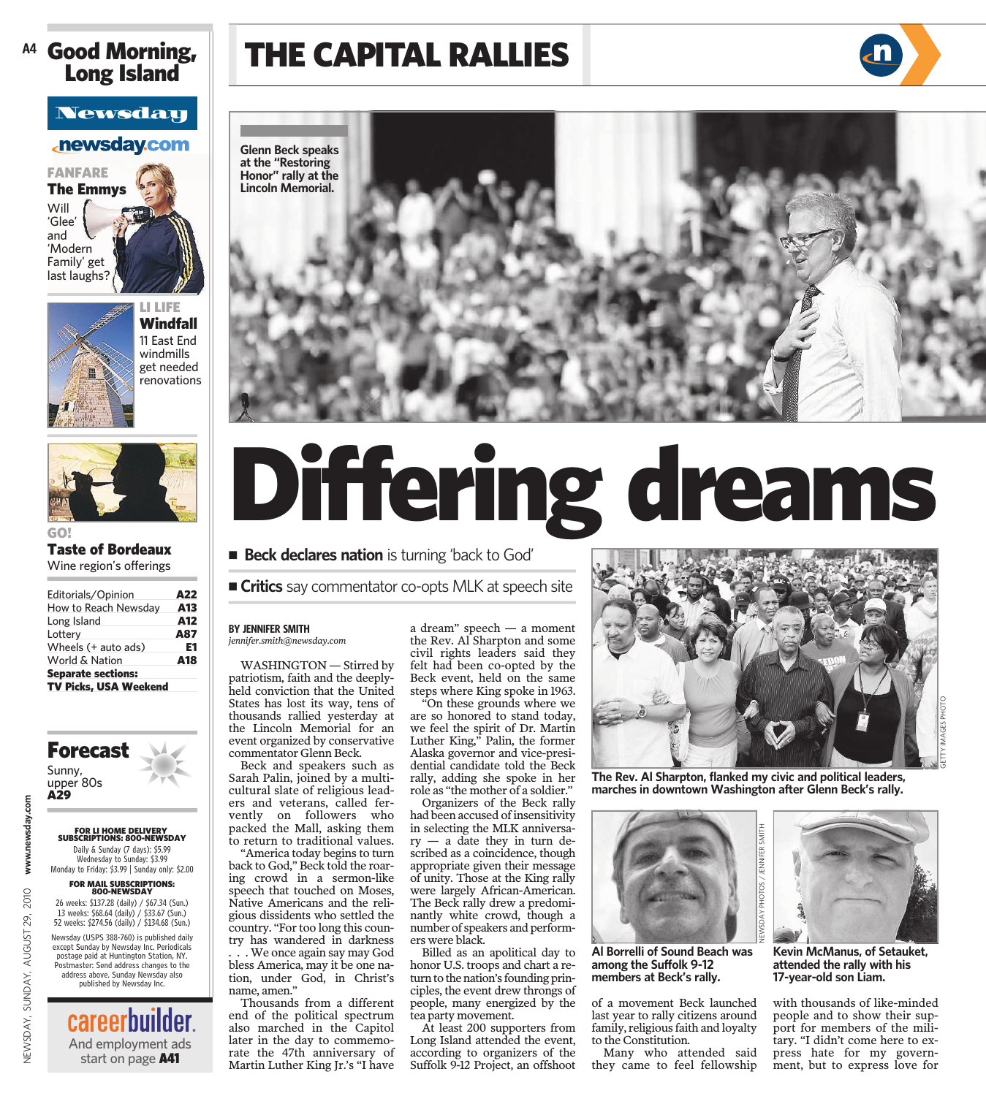### Good Morning, Long Island **A4**

### **Newsday**

### **newsday.com**

FANFARE The Emmys Will 'Glee' and 'Modern Family' get last laughs?



LI LIFE Windfall 11 East End windmills get needed renovations



### GO! Taste of Bordeaux

Wine region's offerings

| Editorials/Opinion           | A22 |
|------------------------------|-----|
| How to Reach Newsday         | A13 |
| Long Island                  | A12 |
| Lottery                      | A87 |
| Wheels (+ auto ads)          | E1  |
| World & Nation               | A18 |
| <b>Separate sections:</b>    |     |
| <b>TV Picks, USA Weekend</b> |     |

### Sunny, Forecast

upper 80s A29

NEWSDAY, SUNDAY, AUGUST 29, 2010 **www.newsday.com**

NEWSDAY, SUNDAY, AUGUST 29,

2010

www.newsday.com

### **FOR LI HOME DELIVERY<br>SUBSCRIPTIONS: 800-NEWSDAY**<br>Daily & Sunday (7 days): \$5.99<br>Wednesday to Sunday: \$3.99

Monday to Friday: \$3.99 | Sunday only: \$2.00

### FOR MAIL SUBSCRIPTIONS: 800-NEWSDAY

26 weeks: \$137.28 (daily) / \$67.34 (Sun.) 13 weeks: \$68.64 (daily) / \$33.67 (Sun.) 52 weeks: \$274.56 (daily) / \$134.68 (Sun.)

Newsday (USPS 388-760) is published daily except Sunday by Newsday Inc. Periodicals postage paid at Huntington Station, NY. Postmaster: Send address changes to the address above. Sunday Newsday also published by Newsday Inc.

> careerbuilder And employment ads start on page A41

### THE CAPITAL RALLIES



# Differing dreams

**E** Beck declares nation is turning 'back to God'

■ Critics say commentator co-opts MLK at speech site

#### **BY JENNIFER SMITH** *jennifer.smith@newsday.com*

WASHINGTON — Stirred by patriotism, faith and the deeplyheld conviction that the United States has lost its way, tens of thousands rallied yesterday at the Lincoln Memorial for an event organized by conservative commentator Glenn Beck.

Beck and speakers such as Sarah Palin, joined by a multicultural slate of religious leaders and veterans, called fervently on followers who packed the Mall, asking them to return to traditional values.

"America today begins to turn back to God," Beck told the roaring crowd in a sermon-like speech that touched on Moses, Native Americans and the religious dissidents who settled the country. "For too long this country has wandered in darkness . . . We once again say may God bless America, may it be one nation, under God, in Christ's name, amen."

Thousands from a different end of the political spectrum also marched in the Capitol later in the day to commemorate the 47th anniversary of Martin Luther King Jr.'s "I have

a dream" speech — a moment the Rev. Al Sharpton and some civil rights leaders said they felt had been co-opted by the Beck event, held on the same steps where King spoke in 1963.

"On these grounds where we are so honored to stand today, we feel the spirit of Dr. Martin Luther King," Palin, the former Alaska governor and vice-presidential candidate told the Beck rally, adding she spoke in her role as "the mother of a soldier."

Organizers of the Beck rally had been accused of insensitivity in selecting the MLK anniversa $ry - a$  date they in turn described as a coincidence, though appropriate given their message of unity. Those at the King rally were largely African-American. The Beck rally drew a predominantly white crowd, though a number of speakers and performers were black.

Billed as an apolitical day to honor U.S. troops and chart a return to the nation's founding principles, the event drew throngs of people, many energized by the tea party movement.

At least 200 supporters from Long Island attended the event, according to organizers of the Suffolk 9-12 Project, an offshoot



**The Rev. Al Sharpton, flanked my civic and political leaders, marches in downtown Washington after Glenn Beck's rally.**



**Al Borrelli of Sound Beach was among the Suffolk 9-12 members at Beck's rally.**

of a movement Beck launched last year to rally citizens around family, religious faith and loyalty to the Constitution.

Many who attended said they came to feel fellowship



**Kevin McManus, of Setauket, attended the rally with his 17-year-old son Liam.**

with thousands of like-minded people and to show their support for members of the military. "I didn't come here to express hate for my government, but to express love for